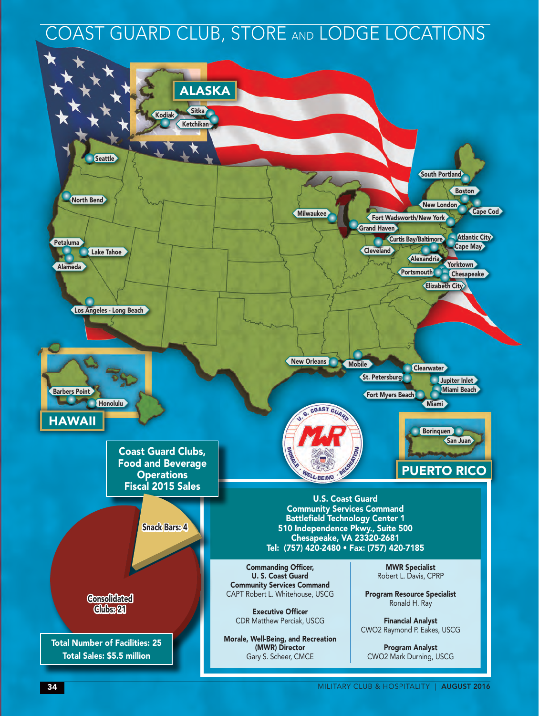### COAST GUARD CLUB, STORE AND LODGE LOCATIONS